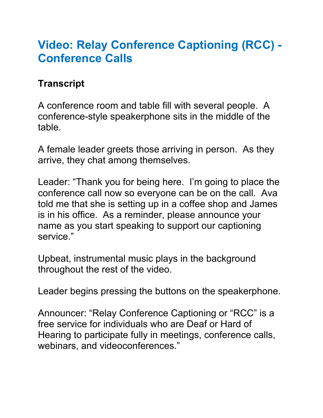## **Video: Relay Conference Captioning (RCC) - Conference Calls**

## **Transcript**

A conference room and table fill with several people. A conference-style speakerphone sits in the middle of the table.

A female leader greets those arriving in person. As they arrive, they chat among themselves.

Leader: "Thank you for being here. I'm going to place the conference call now so everyone can be on the call. Ava told me that she is setting up in a coffee shop and James is in his office. As a reminder, please announce your name as you start speaking to support our captioning service."

Upbeat, instrumental music plays in the background throughout the rest of the video.

Leader begins pressing the buttons on the speakerphone.

Announcer: "Relay Conference Captioning or "RCC" is a free service for individuals who are Deaf or Hard of Hearing to participate fully in meetings, conference calls, webinars, and videoconferences."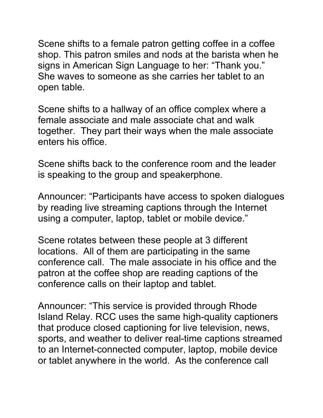Scene shifts to a female patron getting coffee in a coffee shop. This patron smiles and nods at the barista when he signs in American Sign Language to her: "Thank you." She waves to someone as she carries her tablet to an open table.

Scene shifts to a hallway of an office complex where a female associate and male associate chat and walk together. They part their ways when the male associate enters his office.

Scene shifts back to the conference room and the leader is speaking to the group and speakerphone.

Announcer: "Participants have access to spoken dialogues by reading live streaming captions through the Internet using a computer, laptop, tablet or mobile device."

Scene rotates between these people at 3 different locations. All of them are participating in the same conference call. The male associate in his office and the patron at the coffee shop are reading captions of the conference calls on their laptop and tablet.

Announcer: "This service is provided through Rhode Island Relay. RCC uses the same high-quality captioners that produce closed captioning for live television, news, sports, and weather to deliver real-time captions streamed to an Internet-connected computer, laptop, mobile device or tablet anywhere in the world. As the conference call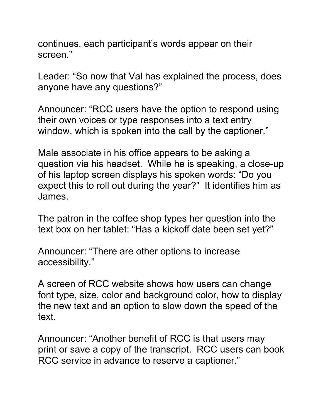continues, each participant's words appear on their screen."

Leader: "So now that Val has explained the process, does anyone have any questions?"

Announcer: "RCC users have the option to respond using their own voices or type responses into a text entry window, which is spoken into the call by the captioner."

Male associate in his office appears to be asking a question via his headset. While he is speaking, a close-up of his laptop screen displays his spoken words: "Do you expect this to roll out during the year?" It identifies him as James.

The patron in the coffee shop types her question into the text box on her tablet: "Has a kickoff date been set yet?"

Announcer: "There are other options to increase accessibility."

A screen of RCC website shows how users can change font type, size, color and background color, how to display the new text and an option to slow down the speed of the text.

Announcer: "Another benefit of RCC is that users may print or save a copy of the transcript. RCC users can book RCC service in advance to reserve a captioner."